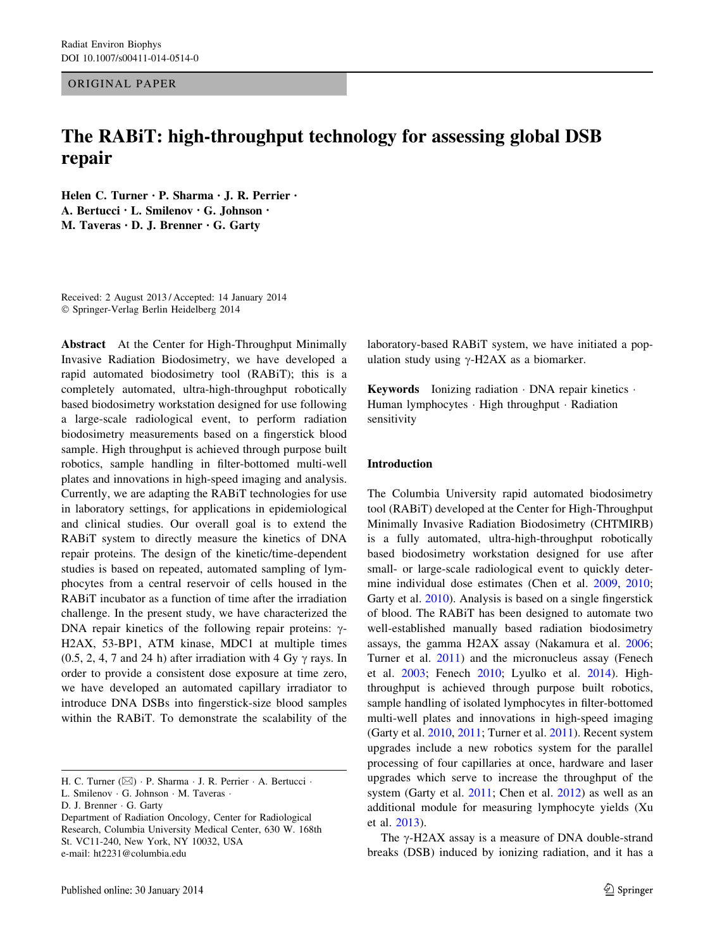## ORIGINAL PAPER

# The RABiT: high-throughput technology for assessing global DSB repair

Helen C. Turner • P. Sharma • J. R. Perrier • A. Bertucci • L. Smilenov • G. Johnson • M. Taveras • D. J. Brenner • G. Garty

Received: 2 August 2013 / Accepted: 14 January 2014 - Springer-Verlag Berlin Heidelberg 2014

Abstract At the Center for High-Throughput Minimally Invasive Radiation Biodosimetry, we have developed a rapid automated biodosimetry tool (RABiT); this is a completely automated, ultra-high-throughput robotically based biodosimetry workstation designed for use following a large-scale radiological event, to perform radiation biodosimetry measurements based on a fingerstick blood sample. High throughput is achieved through purpose built robotics, sample handling in filter-bottomed multi-well plates and innovations in high-speed imaging and analysis. Currently, we are adapting the RABiT technologies for use in laboratory settings, for applications in epidemiological and clinical studies. Our overall goal is to extend the RABiT system to directly measure the kinetics of DNA repair proteins. The design of the kinetic/time-dependent studies is based on repeated, automated sampling of lymphocytes from a central reservoir of cells housed in the RABiT incubator as a function of time after the irradiation challenge. In the present study, we have characterized the DNA repair kinetics of the following repair proteins:  $\gamma$ -H2AX, 53-BP1, ATM kinase, MDC1 at multiple times  $(0.5, 2, 4, 7, 24)$  and 24 h) after irradiation with 4 Gy  $\gamma$  rays. In order to provide a consistent dose exposure at time zero, we have developed an automated capillary irradiator to introduce DNA DSBs into fingerstick-size blood samples within the RABiT. To demonstrate the scalability of the

H. C. Turner  $(\boxtimes) \cdot P$ . Sharma  $\cdot$  J. R. Perrier  $\cdot$  A. Bertucci  $\cdot$ 

L. Smilenov - G. Johnson - M. Taveras -

D. J. Brenner · G. Garty

Department of Radiation Oncology, Center for Radiological Research, Columbia University Medical Center, 630 W. 168th St. VC11-240, New York, NY 10032, USA e-mail: ht2231@columbia.edu

laboratory-based RABiT system, we have initiated a population study using  $\gamma$ -H2AX as a biomarker.

Keywords Ionizing radiation · DNA repair kinetics · Human lymphocytes - High throughput - Radiation sensitivity

## Introduction

The Columbia University rapid automated biodosimetry tool (RABiT) developed at the Center for High-Throughput Minimally Invasive Radiation Biodosimetry (CHTMIRB) is a fully automated, ultra-high-throughput robotically based biodosimetry workstation designed for use after small- or large-scale radiological event to quickly determine individual dose estimates (Chen et al. [2009,](#page-6-0) [2010](#page-6-0); Garty et al. [2010](#page-6-0)). Analysis is based on a single fingerstick of blood. The RABiT has been designed to automate two well-established manually based radiation biodosimetry assays, the gamma H2AX assay (Nakamura et al. [2006](#page-7-0); Turner et al. [2011\)](#page-7-0) and the micronucleus assay (Fenech et al. [2003;](#page-6-0) Fenech [2010;](#page-6-0) Lyulko et al. [2014](#page-7-0)). Highthroughput is achieved through purpose built robotics, sample handling of isolated lymphocytes in filter-bottomed multi-well plates and innovations in high-speed imaging (Garty et al. [2010](#page-6-0), [2011](#page-6-0); Turner et al. [2011\)](#page-7-0). Recent system upgrades include a new robotics system for the parallel processing of four capillaries at once, hardware and laser upgrades which serve to increase the throughput of the system (Garty et al. [2011](#page-6-0); Chen et al. [2012](#page-6-0)) as well as an additional module for measuring lymphocyte yields (Xu et al. [2013\)](#page-7-0).

The  $\gamma$ -H2AX assay is a measure of DNA double-strand breaks (DSB) induced by ionizing radiation, and it has a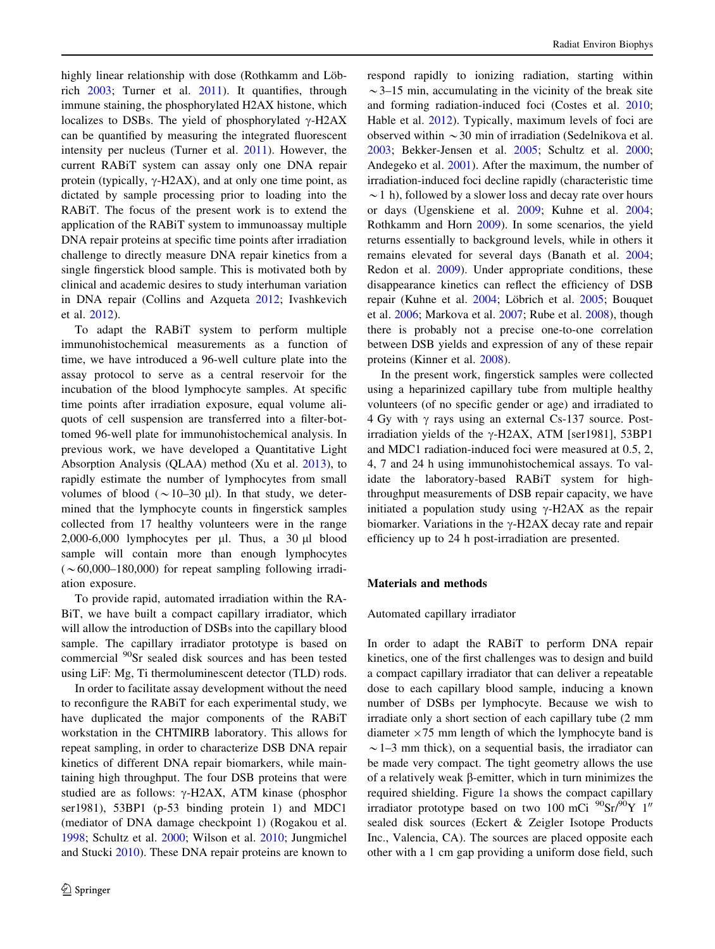highly linear relationship with dose (Rothkamm and Löbrich [2003;](#page-7-0) Turner et al. [2011\)](#page-7-0). It quantifies, through immune staining, the phosphorylated H2AX histone, which localizes to DSBs. The yield of phosphorylated  $\gamma$ -H2AX can be quantified by measuring the integrated fluorescent intensity per nucleus (Turner et al. [2011](#page-7-0)). However, the current RABiT system can assay only one DNA repair protein (typically,  $\gamma$ -H2AX), and at only one time point, as dictated by sample processing prior to loading into the RABiT. The focus of the present work is to extend the application of the RABiT system to immunoassay multiple DNA repair proteins at specific time points after irradiation challenge to directly measure DNA repair kinetics from a single fingerstick blood sample. This is motivated both by clinical and academic desires to study interhuman variation in DNA repair (Collins and Azqueta [2012](#page-6-0); Ivashkevich et al. [2012\)](#page-6-0).

To adapt the RABiT system to perform multiple immunohistochemical measurements as a function of time, we have introduced a 96-well culture plate into the assay protocol to serve as a central reservoir for the incubation of the blood lymphocyte samples. At specific time points after irradiation exposure, equal volume aliquots of cell suspension are transferred into a filter-bottomed 96-well plate for immunohistochemical analysis. In previous work, we have developed a Quantitative Light Absorption Analysis (QLAA) method (Xu et al. [2013](#page-7-0)), to rapidly estimate the number of lymphocytes from small volumes of blood ( $\sim$ 10–30 µl). In that study, we determined that the lymphocyte counts in fingerstick samples collected from 17 healthy volunteers were in the range 2,000-6,000 lymphocytes per  $\mu$ l. Thus, a 30  $\mu$ l blood sample will contain more than enough lymphocytes  $(\sim 60,000-180,000)$  for repeat sampling following irradiation exposure.

To provide rapid, automated irradiation within the RA-BiT, we have built a compact capillary irradiator, which will allow the introduction of DSBs into the capillary blood sample. The capillary irradiator prototype is based on commercial 90Sr sealed disk sources and has been tested using LiF: Mg, Ti thermoluminescent detector (TLD) rods.

In order to facilitate assay development without the need to reconfigure the RABiT for each experimental study, we have duplicated the major components of the RABiT workstation in the CHTMIRB laboratory. This allows for repeat sampling, in order to characterize DSB DNA repair kinetics of different DNA repair biomarkers, while maintaining high throughput. The four DSB proteins that were studied are as follows:  $\gamma$ -H2AX, ATM kinase (phosphor ser1981), 53BP1 (p-53 binding protein 1) and MDC1 (mediator of DNA damage checkpoint 1) (Rogakou et al. [1998;](#page-7-0) Schultz et al. [2000](#page-7-0); Wilson et al. [2010;](#page-7-0) Jungmichel and Stucki [2010](#page-7-0)). These DNA repair proteins are known to respond rapidly to ionizing radiation, starting within  $\sim$ 3–15 min, accumulating in the vicinity of the break site and forming radiation-induced foci (Costes et al. [2010](#page-6-0); Hable et al. [2012](#page-6-0)). Typically, maximum levels of foci are observed within  $\sim$  30 min of irradiation (Sedelnikova et al. [2003](#page-7-0); Bekker-Jensen et al. [2005](#page-6-0); Schultz et al. [2000](#page-7-0); Andegeko et al. [2001](#page-6-0)). After the maximum, the number of irradiation-induced foci decline rapidly (characteristic time  $\sim$  1 h), followed by a slower loss and decay rate over hours or days (Ugenskiene et al. [2009;](#page-7-0) Kuhne et al. [2004](#page-7-0); Rothkamm and Horn [2009](#page-7-0)). In some scenarios, the yield returns essentially to background levels, while in others it remains elevated for several days (Banath et al. [2004](#page-6-0); Redon et al. [2009\)](#page-7-0). Under appropriate conditions, these disappearance kinetics can reflect the efficiency of DSB repair (Kuhne et al. [2004](#page-7-0); Löbrich et al. [2005](#page-7-0); Bouquet et al. [2006;](#page-6-0) Markova et al. [2007;](#page-7-0) Rube et al. [2008\)](#page-7-0), though there is probably not a precise one-to-one correlation between DSB yields and expression of any of these repair proteins (Kinner et al. [2008\)](#page-7-0).

In the present work, fingerstick samples were collected using a heparinized capillary tube from multiple healthy volunteers (of no specific gender or age) and irradiated to 4 Gy with  $\gamma$  rays using an external Cs-137 source. Postirradiation yields of the  $\gamma$ -H2AX, ATM [ser1981], 53BP1 and MDC1 radiation-induced foci were measured at 0.5, 2, 4, 7 and 24 h using immunohistochemical assays. To validate the laboratory-based RABiT system for highthroughput measurements of DSB repair capacity, we have initiated a population study using  $\gamma$ -H2AX as the repair biomarker. Variations in the  $\gamma$ -H2AX decay rate and repair efficiency up to 24 h post-irradiation are presented.

## Materials and methods

## Automated capillary irradiator

In order to adapt the RABiT to perform DNA repair kinetics, one of the first challenges was to design and build a compact capillary irradiator that can deliver a repeatable dose to each capillary blood sample, inducing a known number of DSBs per lymphocyte. Because we wish to irradiate only a short section of each capillary tube (2 mm diameter  $\times$  75 mm length of which the lymphocyte band is  $\sim$  1–3 mm thick), on a sequential basis, the irradiator can be made very compact. The tight geometry allows the use of a relatively weak  $\beta$ -emitter, which in turn minimizes the required shielding. Figure [1a](#page-2-0) shows the compact capillary irradiator prototype based on two 100 mCi  $^{90}Sr^{90}Y$  1" sealed disk sources (Eckert & Zeigler Isotope Products Inc., Valencia, CA). The sources are placed opposite each other with a 1 cm gap providing a uniform dose field, such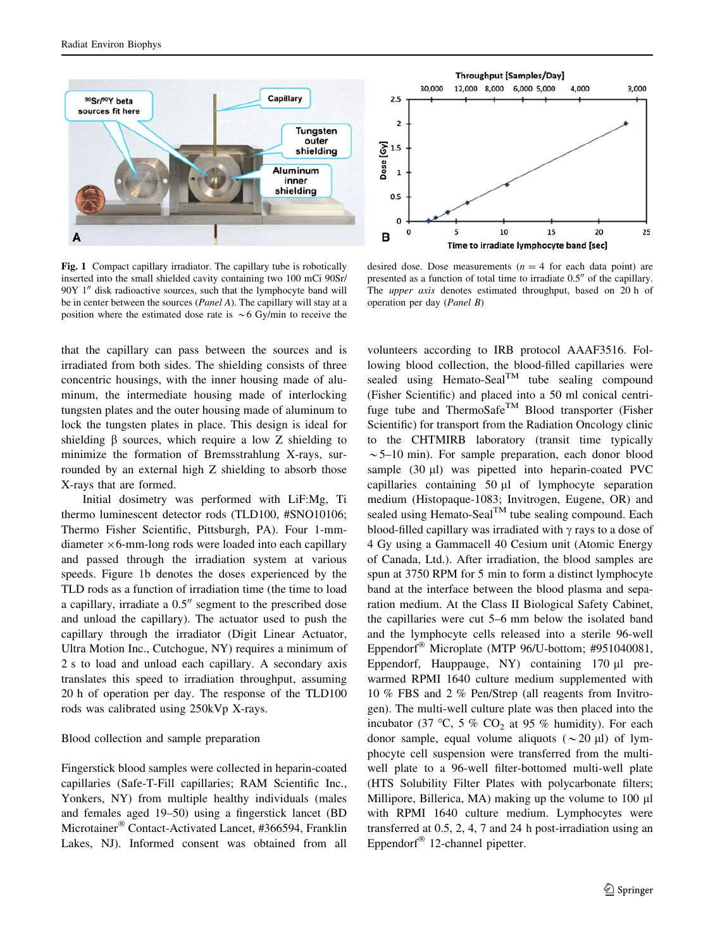<span id="page-2-0"></span>

Fig. 1 Compact capillary irradiator. The capillary tube is robotically inserted into the small shielded cavity containing two 100 mCi 90Sr/  $90Y$  1" disk radioactive sources, such that the lymphocyte band will be in center between the sources (Panel A). The capillary will stay at a position where the estimated dose rate is  $\sim$  6 Gy/min to receive the

 $\overline{2}$ Dose [Gy]  $1.5$ 1  $0.5$  $\Omega$ 10 15 20 C 5 25 в Time to irradiate lymphocyte band [sec]

**Throughput [Samples/Day]** 

4,000

3,000

12,000 8,000 6,000 5,000

30,000

 $2.5$ 

desired dose. Dose measurements ( $n = 4$  for each data point) are presented as a function of total time to irradiate  $0.5<sup>0</sup>$  of the capillary. The *upper axis* denotes estimated throughput, based on 20 h of operation per day (Panel B)

that the capillary can pass between the sources and is irradiated from both sides. The shielding consists of three concentric housings, with the inner housing made of aluminum, the intermediate housing made of interlocking tungsten plates and the outer housing made of aluminum to lock the tungsten plates in place. This design is ideal for shielding  $\beta$  sources, which require a low Z shielding to minimize the formation of Bremsstrahlung X-rays, surrounded by an external high Z shielding to absorb those X-rays that are formed.

Initial dosimetry was performed with LiF:Mg, Ti thermo luminescent detector rods (TLD100, #SNO10106; Thermo Fisher Scientific, Pittsburgh, PA). Four 1-mmdiameter  $\times$  6-mm-long rods were loaded into each capillary and passed through the irradiation system at various speeds. Figure 1b denotes the doses experienced by the TLD rods as a function of irradiation time (the time to load a capillary, irradiate a  $0.5$ <sup> $\prime\prime$ </sup> segment to the prescribed dose and unload the capillary). The actuator used to push the capillary through the irradiator (Digit Linear Actuator, Ultra Motion Inc., Cutchogue, NY) requires a minimum of 2 s to load and unload each capillary. A secondary axis translates this speed to irradiation throughput, assuming 20 h of operation per day. The response of the TLD100 rods was calibrated using 250kVp X-rays.

# Blood collection and sample preparation

Fingerstick blood samples were collected in heparin-coated capillaries (Safe-T-Fill capillaries; RAM Scientific Inc., Yonkers, NY) from multiple healthy individuals (males and females aged 19–50) using a fingerstick lancet (BD Microtainer<sup>®</sup> Contact-Activated Lancet, #366594, Franklin Lakes, NJ). Informed consent was obtained from all volunteers according to IRB protocol AAAF3516. Following blood collection, the blood-filled capillaries were sealed using Hemato-Seal<sup>TM</sup> tube sealing compound (Fisher Scientific) and placed into a 50 ml conical centrifuge tube and ThermoSafe<sup>TM</sup> Blood transporter (Fisher Scientific) for transport from the Radiation Oncology clinic to the CHTMIRB laboratory (transit time typically  $\sim$  5–10 min). For sample preparation, each donor blood sample  $(30 \mu l)$  was pipetted into heparin-coated PVC capillaries containing  $50 \mu l$  of lymphocyte separation medium (Histopaque-1083; Invitrogen, Eugene, OR) and sealed using Hemato-Seal<sup>TM</sup> tube sealing compound. Each blood-filled capillary was irradiated with  $\gamma$  rays to a dose of 4 Gy using a Gammacell 40 Cesium unit (Atomic Energy of Canada, Ltd.). After irradiation, the blood samples are spun at 3750 RPM for 5 min to form a distinct lymphocyte band at the interface between the blood plasma and separation medium. At the Class II Biological Safety Cabinet, the capillaries were cut 5–6 mm below the isolated band and the lymphocyte cells released into a sterile 96-well Eppendorf<sup>®</sup> Microplate (MTP 96/U-bottom; #951040081, Eppendorf, Hauppauge, NY) containing  $170 \mu l$  prewarmed RPMI 1640 culture medium supplemented with 10 % FBS and 2 % Pen/Strep (all reagents from Invitrogen). The multi-well culture plate was then placed into the incubator (37 °C, 5 % CO<sub>2</sub> at 95 % humidity). For each donor sample, equal volume aliquots ( $\sim$ 20 µl) of lymphocyte cell suspension were transferred from the multiwell plate to a 96-well filter-bottomed multi-well plate (HTS Solubility Filter Plates with polycarbonate filters; Millipore, Billerica, MA) making up the volume to  $100 \mu l$ with RPMI 1640 culture medium. Lymphocytes were transferred at 0.5, 2, 4, 7 and 24 h post-irradiation using an Eppendorf<sup>®</sup> 12-channel pipetter.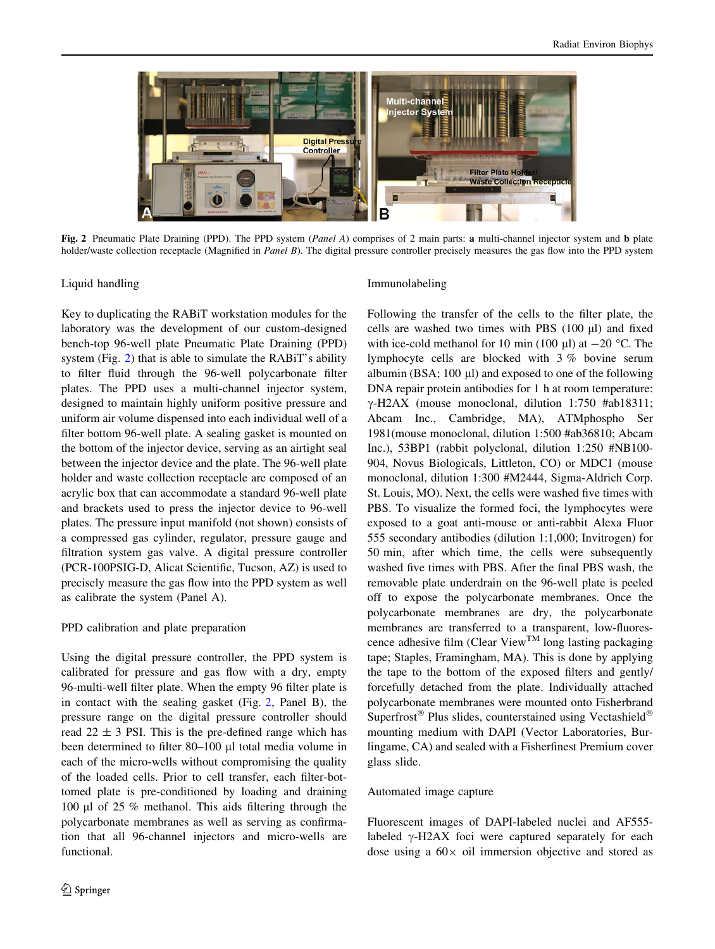

Fig. 2 Pneumatic Plate Draining (PPD). The PPD system (Panel A) comprises of 2 main parts: a multi-channel injector system and b plate holder/waste collection receptacle (Magnified in Panel B). The digital pressure controller precisely measures the gas flow into the PPD system

Liquid handling

Key to duplicating the RABiT workstation modules for the laboratory was the development of our custom-designed bench-top 96-well plate Pneumatic Plate Draining (PPD) system (Fig. 2) that is able to simulate the RABiT's ability to filter fluid through the 96-well polycarbonate filter plates. The PPD uses a multi-channel injector system, designed to maintain highly uniform positive pressure and uniform air volume dispensed into each individual well of a filter bottom 96-well plate. A sealing gasket is mounted on the bottom of the injector device, serving as an airtight seal between the injector device and the plate. The 96-well plate holder and waste collection receptacle are composed of an acrylic box that can accommodate a standard 96-well plate and brackets used to press the injector device to 96-well plates. The pressure input manifold (not shown) consists of a compressed gas cylinder, regulator, pressure gauge and filtration system gas valve. A digital pressure controller (PCR-100PSIG-D, Alicat Scientific, Tucson, AZ) is used to precisely measure the gas flow into the PPD system as well as calibrate the system (Panel A).

## PPD calibration and plate preparation

Using the digital pressure controller, the PPD system is calibrated for pressure and gas flow with a dry, empty 96-multi-well filter plate. When the empty 96 filter plate is in contact with the sealing gasket (Fig. 2, Panel B), the pressure range on the digital pressure controller should read  $22 \pm 3$  PSI. This is the pre-defined range which has been determined to filter 80–100 µl total media volume in each of the micro-wells without compromising the quality of the loaded cells. Prior to cell transfer, each filter-bottomed plate is pre-conditioned by loading and draining 100 μl of 25 % methanol. This aids filtering through the polycarbonate membranes as well as serving as confirmation that all 96-channel injectors and micro-wells are functional.

## Immunolabeling

Following the transfer of the cells to the filter plate, the cells are washed two times with PBS  $(100 \mu l)$  and fixed with ice-cold methanol for 10 min (100  $\mu$ I) at  $-20$  °C. The lymphocyte cells are blocked with 3 % bovine serum albumin (BSA;  $100 \mu l$ ) and exposed to one of the following DNA repair protein antibodies for 1 h at room temperature:  $\gamma$ -H2AX (mouse monoclonal, dilution 1:750 #ab18311; Abcam Inc., Cambridge, MA), ATMphospho Ser 1981(mouse monoclonal, dilution 1:500 #ab36810; Abcam Inc.), 53BP1 (rabbit polyclonal, dilution 1:250 #NB100- 904, Novus Biologicals, Littleton, CO) or MDC1 (mouse monoclonal, dilution 1:300 #M2444, Sigma-Aldrich Corp. St. Louis, MO). Next, the cells were washed five times with PBS. To visualize the formed foci, the lymphocytes were exposed to a goat anti-mouse or anti-rabbit Alexa Fluor 555 secondary antibodies (dilution 1:1,000; Invitrogen) for 50 min, after which time, the cells were subsequently washed five times with PBS. After the final PBS wash, the removable plate underdrain on the 96-well plate is peeled off to expose the polycarbonate membranes. Once the polycarbonate membranes are dry, the polycarbonate membranes are transferred to a transparent, low-fluorescence adhesive film (Clear View<sup>TM</sup> long lasting packaging tape; Staples, Framingham, MA). This is done by applying the tape to the bottom of the exposed filters and gently/ forcefully detached from the plate. Individually attached polycarbonate membranes were mounted onto Fisherbrand Superfrost<sup>®</sup> Plus slides, counterstained using Vectashield<sup>®</sup> mounting medium with DAPI (Vector Laboratories, Burlingame, CA) and sealed with a Fisherfinest Premium cover glass slide.

#### Automated image capture

Fluorescent images of DAPI-labeled nuclei and AF555 labeled  $\gamma$ -H2AX foci were captured separately for each dose using a  $60 \times$  oil immersion objective and stored as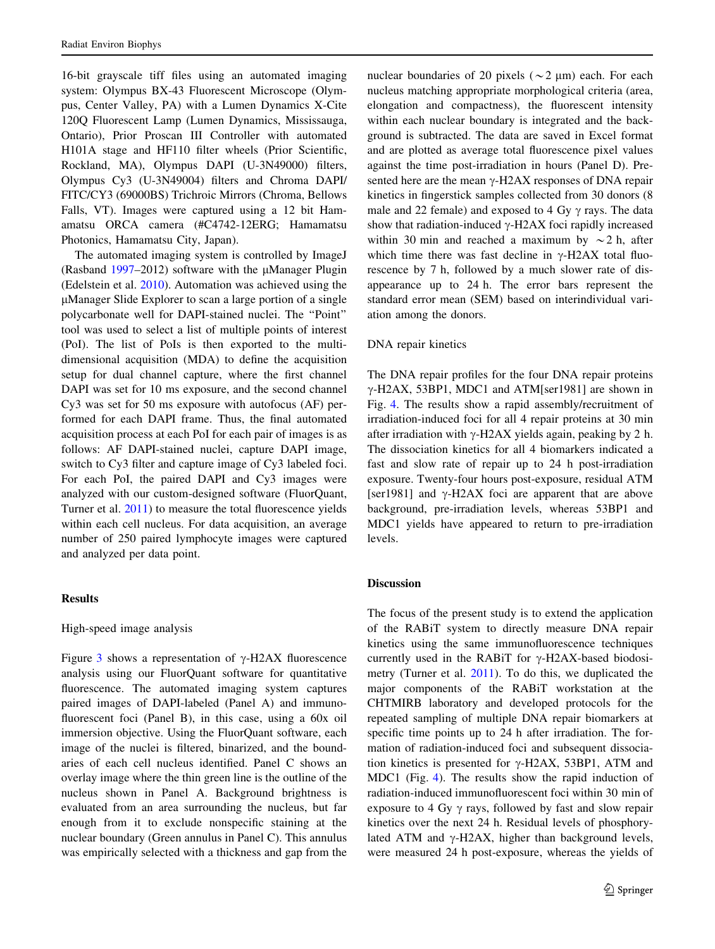16-bit grayscale tiff files using an automated imaging system: Olympus BX-43 Fluorescent Microscope (Olympus, Center Valley, PA) with a Lumen Dynamics X-Cite 120Q Fluorescent Lamp (Lumen Dynamics, Mississauga, Ontario), Prior Proscan III Controller with automated H101A stage and HF110 filter wheels (Prior Scientific, Rockland, MA), Olympus DAPI (U-3N49000) filters, Olympus Cy3 (U-3N49004) filters and Chroma DAPI/ FITC/CY3 (69000BS) Trichroic Mirrors (Chroma, Bellows Falls, VT). Images were captured using a 12 bit Hamamatsu ORCA camera (#C4742-12ERG; Hamamatsu Photonics, Hamamatsu City, Japan).

The automated imaging system is controlled by ImageJ (Rasband [1997](#page-7-0)–2012) software with the  $\mu$ Manager Plugin (Edelstein et al. [2010\)](#page-6-0). Automation was achieved using the lManager Slide Explorer to scan a large portion of a single polycarbonate well for DAPI-stained nuclei. The ''Point'' tool was used to select a list of multiple points of interest (PoI). The list of PoIs is then exported to the multidimensional acquisition (MDA) to define the acquisition setup for dual channel capture, where the first channel DAPI was set for 10 ms exposure, and the second channel Cy3 was set for 50 ms exposure with autofocus (AF) performed for each DAPI frame. Thus, the final automated acquisition process at each PoI for each pair of images is as follows: AF DAPI-stained nuclei, capture DAPI image, switch to Cy3 filter and capture image of Cy3 labeled foci. For each PoI, the paired DAPI and Cy3 images were analyzed with our custom-designed software (FluorQuant, Turner et al. [2011\)](#page-7-0) to measure the total fluorescence yields within each cell nucleus. For data acquisition, an average number of 250 paired lymphocyte images were captured and analyzed per data point.

## Results

#### High-speed image analysis

Figure [3](#page-5-0) shows a representation of  $\gamma$ -H2AX fluorescence analysis using our FluorQuant software for quantitative fluorescence. The automated imaging system captures paired images of DAPI-labeled (Panel A) and immunofluorescent foci (Panel B), in this case, using a 60x oil immersion objective. Using the FluorQuant software, each image of the nuclei is filtered, binarized, and the boundaries of each cell nucleus identified. Panel C shows an overlay image where the thin green line is the outline of the nucleus shown in Panel A. Background brightness is evaluated from an area surrounding the nucleus, but far enough from it to exclude nonspecific staining at the nuclear boundary (Green annulus in Panel C). This annulus was empirically selected with a thickness and gap from the nuclear boundaries of 20 pixels ( $\sim$ 2 µm) each. For each nucleus matching appropriate morphological criteria (area, elongation and compactness), the fluorescent intensity within each nuclear boundary is integrated and the background is subtracted. The data are saved in Excel format and are plotted as average total fluorescence pixel values against the time post-irradiation in hours (Panel D). Presented here are the mean  $\gamma$ -H2AX responses of DNA repair kinetics in fingerstick samples collected from 30 donors (8 male and 22 female) and exposed to 4 Gy  $\gamma$  rays. The data show that radiation-induced  $\gamma$ -H2AX foci rapidly increased within 30 min and reached a maximum by  $\sim$  2 h, after which time there was fast decline in  $\gamma$ -H2AX total fluorescence by 7 h, followed by a much slower rate of disappearance up to 24 h. The error bars represent the standard error mean (SEM) based on interindividual variation among the donors.

#### DNA repair kinetics

The DNA repair profiles for the four DNA repair proteins  $\gamma$ -H2AX, 53BP1, MDC1 and ATM[ser1981] are shown in Fig. [4](#page-5-0). The results show a rapid assembly/recruitment of irradiation-induced foci for all 4 repair proteins at 30 min after irradiation with  $\gamma$ -H2AX yields again, peaking by 2 h. The dissociation kinetics for all 4 biomarkers indicated a fast and slow rate of repair up to 24 h post-irradiation exposure. Twenty-four hours post-exposure, residual ATM [ser1981] and  $\gamma$ -H2AX foci are apparent that are above background, pre-irradiation levels, whereas 53BP1 and MDC1 yields have appeared to return to pre-irradiation levels.

## Discussion

The focus of the present study is to extend the application of the RABiT system to directly measure DNA repair kinetics using the same immunofluorescence techniques currently used in the RABiT for  $\gamma$ -H2AX-based biodosimetry (Turner et al. [2011](#page-7-0)). To do this, we duplicated the major components of the RABiT workstation at the CHTMIRB laboratory and developed protocols for the repeated sampling of multiple DNA repair biomarkers at specific time points up to 24 h after irradiation. The formation of radiation-induced foci and subsequent dissociation kinetics is presented for  $\gamma$ -H2AX, 53BP1, ATM and MDC1 (Fig. [4\)](#page-5-0). The results show the rapid induction of radiation-induced immunofluorescent foci within 30 min of exposure to 4 Gy  $\gamma$  rays, followed by fast and slow repair kinetics over the next 24 h. Residual levels of phosphorylated ATM and  $\gamma$ -H2AX, higher than background levels, were measured 24 h post-exposure, whereas the yields of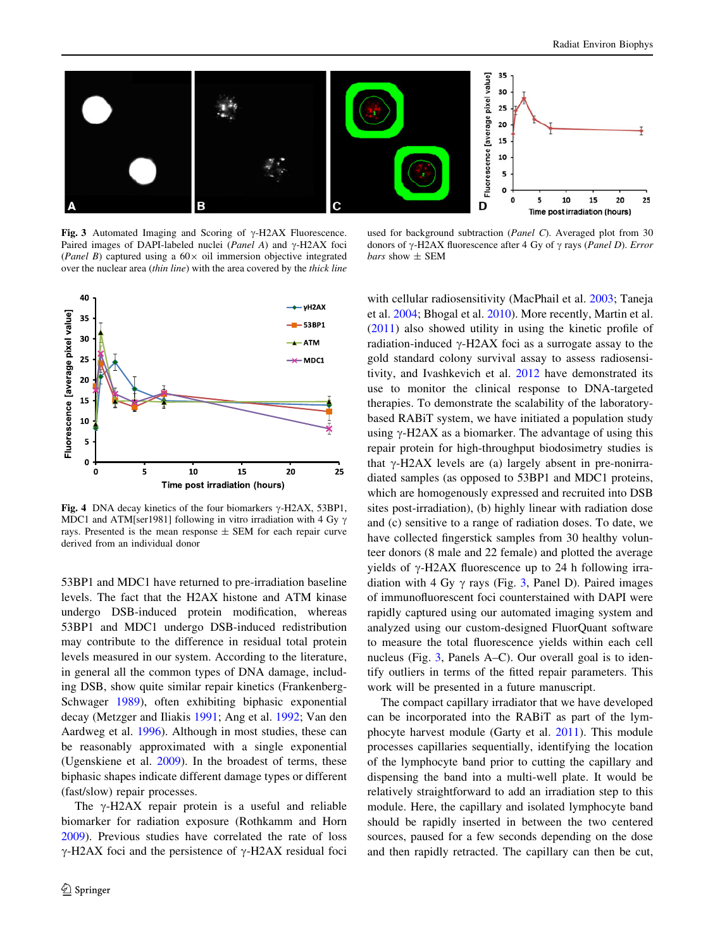<span id="page-5-0"></span>

Fig. 3 Automated Imaging and Scoring of  $\gamma$ -H2AX Fluorescence. Paired images of DAPI-labeled nuclei (*Panel A*) and  $\gamma$ -H2AX foci (Panel B) captured using a  $60 \times$  oil immersion objective integrated over the nuclear area (thin line) with the area covered by the thick line

used for background subtraction (Panel C). Averaged plot from 30 donors of  $\gamma$ -H2AX fluorescence after 4 Gy of  $\gamma$  rays (*Panel D*). *Error bars* show  $\pm$  SEM



Fig. 4 DNA decay kinetics of the four biomarkers  $\gamma$ -H2AX, 53BP1, MDC1 and ATM[ser1981] following in vitro irradiation with 4 Gy  $\gamma$ rays. Presented is the mean response ± SEM for each repair curve derived from an individual donor

53BP1 and MDC1 have returned to pre-irradiation baseline levels. The fact that the H2AX histone and ATM kinase undergo DSB-induced protein modification, whereas 53BP1 and MDC1 undergo DSB-induced redistribution may contribute to the difference in residual total protein levels measured in our system. According to the literature, in general all the common types of DNA damage, including DSB, show quite similar repair kinetics (Frankenberg-Schwager [1989\)](#page-6-0), often exhibiting biphasic exponential decay (Metzger and Iliakis [1991;](#page-7-0) Ang et al. [1992;](#page-6-0) Van den Aardweg et al. [1996](#page-7-0)). Although in most studies, these can be reasonably approximated with a single exponential (Ugenskiene et al. [2009\)](#page-7-0). In the broadest of terms, these biphasic shapes indicate different damage types or different (fast/slow) repair processes.

The  $\gamma$ -H2AX repair protein is a useful and reliable biomarker for radiation exposure (Rothkamm and Horn [2009\)](#page-7-0). Previous studies have correlated the rate of loss  $\gamma$ -H2AX foci and the persistence of  $\gamma$ -H2AX residual foci with cellular radiosensitivity (MacPhail et al. [2003](#page-7-0); Taneja et al. [2004;](#page-7-0) Bhogal et al. [2010\)](#page-6-0). More recently, Martin et al. [\(2011](#page-7-0)) also showed utility in using the kinetic profile of radiation-induced  $\gamma$ -H2AX foci as a surrogate assay to the gold standard colony survival assay to assess radiosensitivity, and Ivashkevich et al. [2012](#page-6-0) have demonstrated its use to monitor the clinical response to DNA-targeted therapies. To demonstrate the scalability of the laboratorybased RABiT system, we have initiated a population study using  $\gamma$ -H2AX as a biomarker. The advantage of using this repair protein for high-throughput biodosimetry studies is that  $\gamma$ -H2AX levels are (a) largely absent in pre-nonirradiated samples (as opposed to 53BP1 and MDC1 proteins, which are homogenously expressed and recruited into DSB sites post-irradiation), (b) highly linear with radiation dose and (c) sensitive to a range of radiation doses. To date, we have collected fingerstick samples from 30 healthy volunteer donors (8 male and 22 female) and plotted the average yields of  $\gamma$ -H2AX fluorescence up to 24 h following irradiation with 4 Gy  $\gamma$  rays (Fig. 3, Panel D). Paired images of immunofluorescent foci counterstained with DAPI were rapidly captured using our automated imaging system and analyzed using our custom-designed FluorQuant software to measure the total fluorescence yields within each cell nucleus (Fig. 3, Panels A–C). Our overall goal is to identify outliers in terms of the fitted repair parameters. This work will be presented in a future manuscript.

The compact capillary irradiator that we have developed can be incorporated into the RABiT as part of the lymphocyte harvest module (Garty et al. [2011\)](#page-6-0). This module processes capillaries sequentially, identifying the location of the lymphocyte band prior to cutting the capillary and dispensing the band into a multi-well plate. It would be relatively straightforward to add an irradiation step to this module. Here, the capillary and isolated lymphocyte band should be rapidly inserted in between the two centered sources, paused for a few seconds depending on the dose and then rapidly retracted. The capillary can then be cut,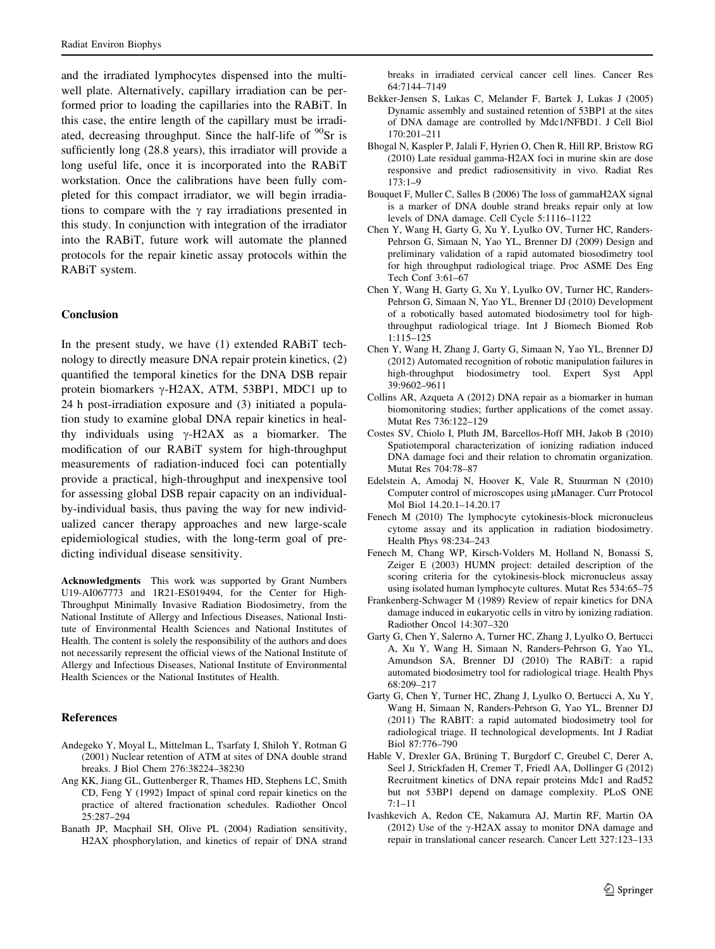<span id="page-6-0"></span>and the irradiated lymphocytes dispensed into the multiwell plate. Alternatively, capillary irradiation can be performed prior to loading the capillaries into the RABiT. In this case, the entire length of the capillary must be irradiated, decreasing throughput. Since the half-life of  $\rm{^{90}Sr}$  is sufficiently long (28.8 years), this irradiator will provide a long useful life, once it is incorporated into the RABiT workstation. Once the calibrations have been fully completed for this compact irradiator, we will begin irradiations to compare with the  $\gamma$  ray irradiations presented in this study. In conjunction with integration of the irradiator into the RABiT, future work will automate the planned protocols for the repair kinetic assay protocols within the RABiT system.

# Conclusion

In the present study, we have (1) extended RABiT technology to directly measure DNA repair protein kinetics, (2) quantified the temporal kinetics for the DNA DSB repair protein biomarkers  $\gamma$ -H2AX, ATM, 53BP1, MDC1 up to 24 h post-irradiation exposure and (3) initiated a population study to examine global DNA repair kinetics in healthy individuals using  $\gamma$ -H2AX as a biomarker. The modification of our RABiT system for high-throughput measurements of radiation-induced foci can potentially provide a practical, high-throughput and inexpensive tool for assessing global DSB repair capacity on an individualby-individual basis, thus paving the way for new individualized cancer therapy approaches and new large-scale epidemiological studies, with the long-term goal of predicting individual disease sensitivity.

Acknowledgments This work was supported by Grant Numbers U19-AI067773 and 1R21-ES019494, for the Center for High-Throughput Minimally Invasive Radiation Biodosimetry, from the National Institute of Allergy and Infectious Diseases, National Institute of Environmental Health Sciences and National Institutes of Health. The content is solely the responsibility of the authors and does not necessarily represent the official views of the National Institute of Allergy and Infectious Diseases, National Institute of Environmental Health Sciences or the National Institutes of Health.

## References

- Andegeko Y, Moyal L, Mittelman L, Tsarfaty I, Shiloh Y, Rotman G (2001) Nuclear retention of ATM at sites of DNA double strand breaks. J Biol Chem 276:38224–38230
- Ang KK, Jiang GL, Guttenberger R, Thames HD, Stephens LC, Smith CD, Feng Y (1992) Impact of spinal cord repair kinetics on the practice of altered fractionation schedules. Radiother Oncol 25:287–294
- Banath JP, Macphail SH, Olive PL (2004) Radiation sensitivity, H2AX phosphorylation, and kinetics of repair of DNA strand

breaks in irradiated cervical cancer cell lines. Cancer Res 64:7144–7149

- Bekker-Jensen S, Lukas C, Melander F, Bartek J, Lukas J (2005) Dynamic assembly and sustained retention of 53BP1 at the sites of DNA damage are controlled by Mdc1/NFBD1. J Cell Biol 170:201–211
- Bhogal N, Kaspler P, Jalali F, Hyrien O, Chen R, Hill RP, Bristow RG (2010) Late residual gamma-H2AX foci in murine skin are dose responsive and predict radiosensitivity in vivo. Radiat Res 173:1–9
- Bouquet F, Muller C, Salles B (2006) The loss of gammaH2AX signal is a marker of DNA double strand breaks repair only at low levels of DNA damage. Cell Cycle 5:1116–1122
- Chen Y, Wang H, Garty G, Xu Y, Lyulko OV, Turner HC, Randers-Pehrson G, Simaan N, Yao YL, Brenner DJ (2009) Design and preliminary validation of a rapid automated biosodimetry tool for high throughput radiological triage. Proc ASME Des Eng Tech Conf 3:61–67
- Chen Y, Wang H, Garty G, Xu Y, Lyulko OV, Turner HC, Randers-Pehrson G, Simaan N, Yao YL, Brenner DJ (2010) Development of a robotically based automated biodosimetry tool for highthroughput radiological triage. Int J Biomech Biomed Rob 1:115–125
- Chen Y, Wang H, Zhang J, Garty G, Simaan N, Yao YL, Brenner DJ (2012) Automated recognition of robotic manipulation failures in high-throughput biodosimetry tool. Expert Syst Appl 39:9602–9611
- Collins AR, Azqueta A (2012) DNA repair as a biomarker in human biomonitoring studies; further applications of the comet assay. Mutat Res 736:122–129
- Costes SV, Chiolo I, Pluth JM, Barcellos-Hoff MH, Jakob B (2010) Spatiotemporal characterization of ionizing radiation induced DNA damage foci and their relation to chromatin organization. Mutat Res 704:78–87
- Edelstein A, Amodaj N, Hoover K, Vale R, Stuurman N (2010) Computer control of microscopes using  $\mu$ Manager. Curr Protocol Mol Biol 14.20.1–14.20.17
- Fenech M (2010) The lymphocyte cytokinesis-block micronucleus cytome assay and its application in radiation biodosimetry. Health Phys 98:234–243
- Fenech M, Chang WP, Kirsch-Volders M, Holland N, Bonassi S, Zeiger E (2003) HUMN project: detailed description of the scoring criteria for the cytokinesis-block micronucleus assay using isolated human lymphocyte cultures. Mutat Res 534:65–75
- Frankenberg-Schwager M (1989) Review of repair kinetics for DNA damage induced in eukaryotic cells in vitro by ionizing radiation. Radiother Oncol 14:307–320
- Garty G, Chen Y, Salerno A, Turner HC, Zhang J, Lyulko O, Bertucci A, Xu Y, Wang H, Simaan N, Randers-Pehrson G, Yao YL, Amundson SA, Brenner DJ (2010) The RABiT: a rapid automated biodosimetry tool for radiological triage. Health Phys 68:209–217
- Garty G, Chen Y, Turner HC, Zhang J, Lyulko O, Bertucci A, Xu Y, Wang H, Simaan N, Randers-Pehrson G, Yao YL, Brenner DJ (2011) The RABIT: a rapid automated biodosimetry tool for radiological triage. II technological developments. Int J Radiat Biol 87:776–790
- Hable V, Drexler GA, Brüning T, Burgdorf C, Greubel C, Derer A, Seel J, Strickfaden H, Cremer T, Friedl AA, Dollinger G (2012) Recruitment kinetics of DNA repair proteins Mdc1 and Rad52 but not 53BP1 depend on damage complexity. PLoS ONE 7:1–11
- Ivashkevich A, Redon CE, Nakamura AJ, Martin RF, Martin OA (2012) Use of the  $\gamma$ -H2AX assay to monitor DNA damage and repair in translational cancer research. Cancer Lett 327:123–133